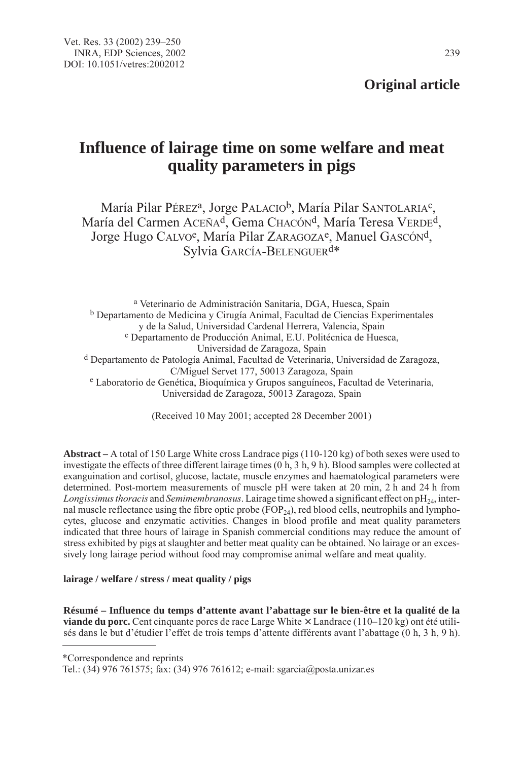## **Original article**

# **Influence of lairage time on some welfare and meat quality parameters in pigs**

María Pilar PÉREZ<sup>a</sup>, Jorge PALACIO<sup>b</sup>, María Pilar SANTOLARIA<sup>c</sup>, María del Carmen ACEÑAd, Gema CHACÓNd, María Teresa VERDEd, Jorge Hugo CALVO<sup>e</sup>, María Pilar ZARAGOZA<sup>e</sup>, Manuel GASCÓN<sup>d</sup>, Sylvia GARCÍA-BELENGUERd\*

<sup>a</sup> Veterinario de Administración Sanitaria, DGA, Huesca, Spain  $\frac{b}{b}$  Departamento de Medicina y Cirugía Animal, Facultad de Ciencias Experimentales y de la Salud, Universidad Cardenal Herrera, Valencia, Spain <sup>c</sup> Departamento de Producción Animal, E.U. Politécnica de Huesca, Universidad de Zaragoza, Spain  $d$  Departamento de Patología Animal, Facultad de Veterinaria, Universidad de Zaragoza, C/Miguel Servet 177, 50013 Zaragoza, Spain <sup>e</sup> Laboratorio de Genética, Bioquímica y Grupos sanguíneos, Facultad de Veterinaria, Universidad de Zaragoza, 50013 Zaragoza, Spain

(Received 10 May 2001; accepted 28 December 2001)

**Abstract –** A total of 150 Large White cross Landrace pigs (110-120 kg) of both sexes were used to investigate the effects of three different lairage times (0 h, 3 h, 9 h). Blood samples were collected at exanguination and cortisol, glucose, lactate, muscle enzymes and haematological parameters were determined. Post-mortem measurements of muscle pH were taken at 20 min, 2 h and 24 h from Longissimus thoracis and Semimembranosus. Lairage time showed a significant effect on  $pH_{24}$ , internal muscle reflectance using the fibre optic probe  $(FOP_{24})$ , red blood cells, neutrophils and lymphocytes, glucose and enzymatic activities. Changes in blood profile and meat quality parameters indicated that three hours of lairage in Spanish commercial conditions may reduce the amount of stress exhibited by pigs at slaughter and better meat quality can be obtained. No lairage or an excessively long lairage period without food may compromise animal welfare and meat quality.

## **lairage / welfare / stress / meat quality / pigs**

**Résumé – Influence du temps d'attente avant l'abattage sur le bien-être et la qualité de la viande du porc.** Cent cinquante porcs de race Large White × Landrace (110–120 kg) ont été utilisés dans le but d'étudier l'effet de trois temps d'attente différents avant l'abattage (0 h, 3 h, 9 h).

\*Correspondence and reprints

Tel.: (34) 976 761575; fax: (34) 976 761612; e-mail: sgarcia@posta.unizar.es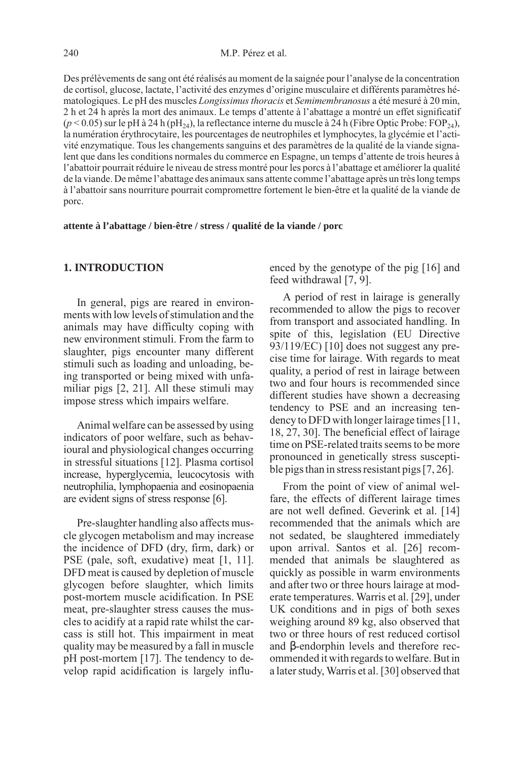Des prélèvements de sang ont été réalisés au moment de la saignée pour l'analyse de la concentration de cortisol, glucose, lactate, l'activité des enzymes d'origine musculaire et différents paramètres hématologiques. Le pH des muscles Longissimus thoracis et Semimembranosus a été mesuré à 20 min, 2 h et 24 h après la mort des animaux. Le temps d'attente à l'abattage a montré un effet significatif  $(p < 0.05)$  sur le pH à 24 h (pH<sub>24</sub>), la reflectance interne du muscle à 24 h (Fibre Optic Probe: FOP<sub>24</sub>), la numération érythrocytaire, les pourcentages de neutrophiles et lymphocytes, la glycémie et l'activité enzymatique. Tous les changements sanguins et des paramètres de la qualité de la viande signalent que dans les conditions normales du commerce en Espagne, un temps d'attente de trois heures à l'abattoir pourrait réduire le niveau de stress montré pour les porcs à l'abattage et améliorer la qualité de la viande. De même l'abattage des animaux sans attente comme l'abattage après un très long temps à l'abattoir sans nourriture pourrait compromettre fortement le bien-être et la qualité de la viande de porc.

**attente à l'abattage / bien-être / stress / qualité de la viande / porc**

## **1. INTRODUCTION**

In general, pigs are reared in environments with low levels of stimulation and the animals may have difficulty coping with new environment stimuli. From the farm to slaughter, pigs encounter many different stimuli such as loading and unloading, being transported or being mixed with unfamiliar pigs [2, 21]. All these stimuli may impose stress which impairs welfare.

Animal welfare can be assessed by using indicators of poor welfare, such as behavioural and physiological changes occurring in stressful situations [12]. Plasma cortisol increase, hyperglycemia, leucocytosis with neutrophilia, lymphopaenia and eosinopaenia are evident signs of stress response [6].

Pre-slaughter handling also affects muscle glycogen metabolism and may increase the incidence of DFD (dry, firm, dark) or PSE (pale, soft, exudative) meat [1, 11]. DFD meat is caused by depletion of muscle glycogen before slaughter, which limits post-mortem muscle acidification. In PSE meat, pre-slaughter stress causes the muscles to acidify at a rapid rate whilst the carcass is still hot. This impairment in meat quality may be measured by a fall in muscle pH post-mortem [17]. The tendency to develop rapid acidification is largely influenced by the genotype of the pig [16] and feed withdrawal [7, 9].

A period of rest in lairage is generally recommended to allow the pigs to recover from transport and associated handling. In spite of this, legislation (EU Directive 93/119/EC) [10] does not suggest any precise time for lairage. With regards to meat quality, a period of rest in lairage between two and four hours is recommended since different studies have shown a decreasing tendency to PSE and an increasing tendency to DFD with longer lairage times [11, 18, 27, 30]. The beneficial effect of lairage time on PSE-related traits seems to be more pronounced in genetically stress susceptible pigs than in stress resistant pigs [7, 26].

From the point of view of animal welfare, the effects of different lairage times are not well defined. Geverink et al. [14] recommended that the animals which are not sedated, be slaughtered immediately upon arrival. Santos et al. [26] recommended that animals be slaughtered as quickly as possible in warm environments and after two or three hours lairage at moderate temperatures. Warris et al. [29], under UK conditions and in pigs of both sexes weighing around 89 kg, also observed that two or three hours of rest reduced cortisol and β-endorphin levels and therefore recommended it with regards to welfare. But in a later study, Warris et al. [30] observed that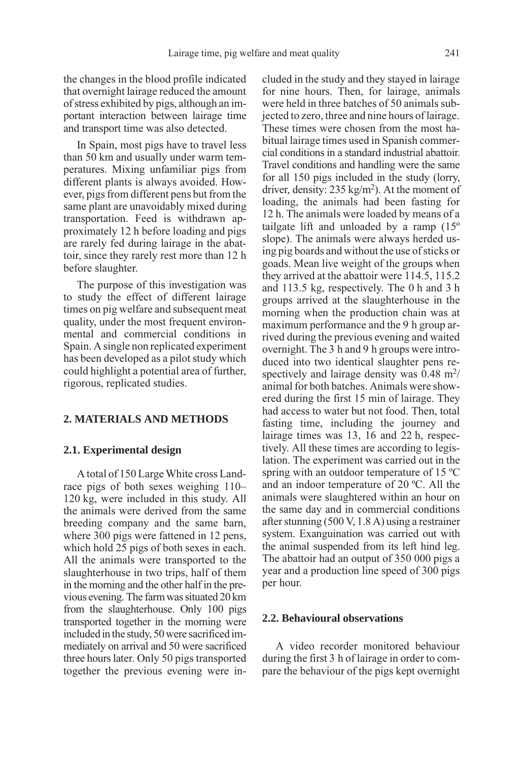the changes in the blood profile indicated that overnight lairage reduced the amount of stress exhibited by pigs, although an important interaction between lairage time and transport time was also detected.

In Spain, most pigs have to travel less than 50 km and usually under warm temperatures. Mixing unfamiliar pigs from different plants is always avoided. However, pigs from different pens but from the same plant are unavoidably mixed during transportation. Feed is withdrawn approximately 12 h before loading and pigs are rarely fed during lairage in the abattoir, since they rarely rest more than 12 h before slaughter.

The purpose of this investigation was to study the effect of different lairage times on pig welfare and subsequent meat quality, under the most frequent environmental and commercial conditions in Spain. A single non replicated experiment has been developed as a pilot study which could highlight a potential area of further, rigorous, replicated studies.

## **2. MATERIALS AND METHODS**

#### **2.1. Experimental design**

A total of 150 Large White cross Landrace pigs of both sexes weighing 110– 120 kg, were included in this study. All the animals were derived from the same breeding company and the same barn, where 300 pigs were fattened in 12 pens, which hold 25 pigs of both sexes in each. All the animals were transported to the slaughterhouse in two trips, half of them in the morning and the other half in the previous evening. The farm was situated 20 km from the slaughterhouse. Only 100 pigs transported together in the morning were included in the study, 50 were sacrificed immediately on arrival and 50 were sacrificed three hours later. Only 50 pigs transported together the previous evening were included in the study and they stayed in lairage for nine hours. Then, for lairage, animals were held in three batches of 50 animals subjected to zero, three and nine hours of lairage. These times were chosen from the most habitual lairage times used in Spanish commercial conditions in a standard industrial abattoir. Travel conditions and handling were the same for all 150 pigs included in the study (lorry, driver, density: 235 kg/m2). At the moment of loading, the animals had been fasting for 12 h. The animals were loaded by means of a tailgate lift and unloaded by a ramp (15º slope). The animals were always herded using pig boards and without the use of sticks or goads. Mean live weight of the groups when they arrived at the abattoir were 114.5, 115.2 and 113.5 kg, respectively. The 0 h and 3 h groups arrived at the slaughterhouse in the morning when the production chain was at maximum performance and the 9 h group arrived during the previous evening and waited overnight. The 3 h and 9 h groups were introduced into two identical slaughter pens respectively and lairage density was  $0.48 \text{ m}^2$ / animal for both batches. Animals were showered during the first 15 min of lairage. They had access to water but not food. Then, total fasting time, including the journey and lairage times was 13, 16 and 22 h, respectively. All these times are according to legislation. The experiment was carried out in the spring with an outdoor temperature of 15 ºC and an indoor temperature of 20 ºC. All the animals were slaughtered within an hour on the same day and in commercial conditions after stunning (500 V, 1.8 A) using a restrainer system. Exanguination was carried out with the animal suspended from its left hind leg. The abattoir had an output of 350 000 pigs a year and a production line speed of 300 pigs per hour.

#### **2.2. Behavioural observations**

A video recorder monitored behaviour during the first 3 h of lairage in order to compare the behaviour of the pigs kept overnight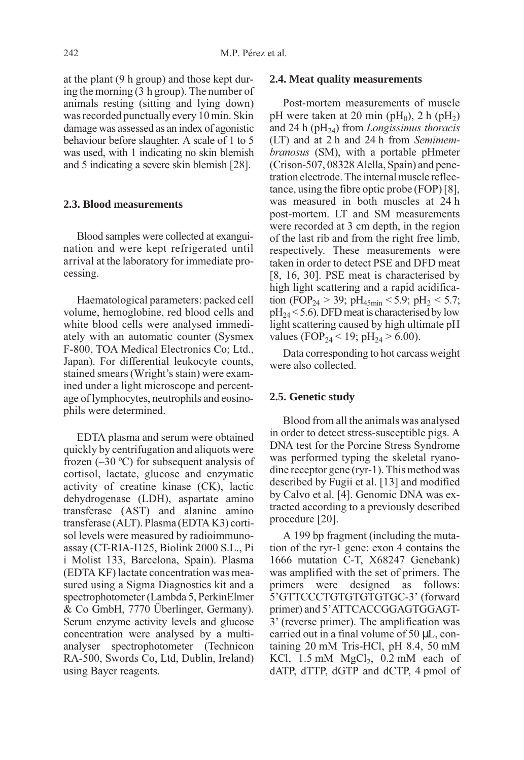at the plant (9 h group) and those kept during the morning (3 h group). The number of animals resting (sitting and lying down) was recorded punctually every 10 min. Skin damage was assessed as an index of agonistic behaviour before slaughter. A scale of 1 to 5 was used, with 1 indicating no skin blemish and 5 indicating a severe skin blemish [28].

#### **2.3. Blood measurements**

Blood samples were collected at exanguination and were kept refrigerated until arrival at the laboratory for immediate processing.

Haematological parameters: packed cell volume, hemoglobine, red blood cells and white blood cells were analysed immediately with an automatic counter (Sysmex F-800, TOA Medical Electronics Co; Ltd., Japan). For differential leukocyte counts, stained smears (Wright's stain) were examined under a light microscope and percentage of lymphocytes, neutrophils and eosinophils were determined.

EDTA plasma and serum were obtained quickly by centrifugation and aliquots were frozen  $(-30 \degree C)$  for subsequent analysis of cortisol, lactate, glucose and enzymatic activity of creatine kinase (CK), lactic dehydrogenase (LDH), aspartate amino transferase (AST) and alanine amino transferase (ALT). Plasma (EDTA K3) cortisol levels were measured by radioimmunoassay (CT-RIA-I125, Biolink 2000 S.L., Pi i Molist 133, Barcelona, Spain). Plasma (EDTA KF) lactate concentration was measured using a Sigma Diagnostics kit and a spectrophotometer (Lambda 5, PerkinElmer & Co GmbH, 7770 Überlinger, Germany). Serum enzyme activity levels and glucose concentration were analysed by a multianalyser spectrophotometer (Technicon RA-500, Swords Co, Ltd, Dublin, Ireland) using Bayer reagents.

#### **2.4. Meat quality measurements**

Post-mortem measurements of muscle pH were taken at 20 min (pH<sub>0</sub>), 2 h (pH<sub>2</sub>) and 24 h ( $pH_{24}$ ) from Longissimus thoracis (LT) and at 2 h and 24 h from Semimembranosus (SM), with a portable pHmeter (Crison-507, 08328 Alella, Spain) and penetration electrode. The internal muscle reflectance, using the fibre optic probe (FOP) [8], was measured in both muscles at 24 h post-mortem. LT and SM measurements were recorded at 3 cm depth, in the region of the last rib and from the right free limb, respectively. These measurements were taken in order to detect PSE and DFD meat [8, 16, 30]. PSE meat is characterised by high light scattering and a rapid acidification (FOP<sub>24</sub> > 39; pH<sub>45min</sub> < 5.9; pH<sub>2</sub> < 5.7;  $pH<sub>24</sub> < 5.6$ ). DFD meat is characterised by low light scattering caused by high ultimate pH values (FOP<sub>24</sub> < 19; pH<sub>24</sub> > 6.00).

Data corresponding to hot carcass weight were also collected.

#### **2.5. Genetic study**

Blood from all the animals was analysed in order to detect stress-susceptible pigs. A DNA test for the Porcine Stress Syndrome was performed typing the skeletal ryanodine receptor gene (ryr-1). This method was described by Fugii et al. [13] and modified by Calvo et al. [4]. Genomic DNA was extracted according to a previously described procedure [20].

A 199 bp fragment (including the mutation of the ryr-1 gene: exon 4 contains the 1666 mutation C-T, X68247 Genebank) was amplified with the set of primers. The primers were designed as follows: 5'GTTCCCTGTGTGTGTGC-3' (forward primer) and 5'ATTCACCGGAGTGGAGT-3' (reverse primer). The amplification was carried out in a final volume of 50 µL, containing 20 mM Tris-HCl, pH 8.4, 50 mM KCl,  $1.5 \text{ mM } MgCl<sub>2</sub>$ ,  $0.2 \text{ mM }$  each of dATP, dTTP, dGTP and dCTP, 4 pmol of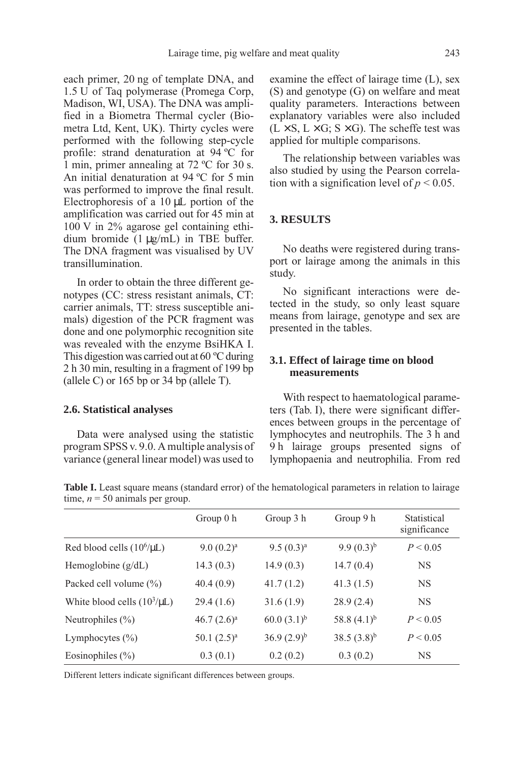each primer, 20 ng of template DNA, and 1.5 U of Taq polymerase (Promega Corp, Madison, WI, USA). The DNA was amplified in a Biometra Thermal cycler (Biometra Ltd, Kent, UK). Thirty cycles were performed with the following step-cycle profile: strand denaturation at 94 ºC for 1 min, primer annealing at 72 ºC for 30 s. An initial denaturation at 94 ºC for 5 min was performed to improve the final result. Electrophoresis of a 10 µL portion of the amplification was carried out for 45 min at 100 V in 2% agarose gel containing ethidium bromide (1 µg/mL) in TBE buffer. The DNA fragment was visualised by UV transillumination.

In order to obtain the three different genotypes (CC: stress resistant animals, CT: carrier animals, TT: stress susceptible animals) digestion of the PCR fragment was done and one polymorphic recognition site was revealed with the enzyme BsiHKA I. This digestion was carried out at 60 ºC during 2 h 30 min, resulting in a fragment of 199 bp (allele C) or  $165$  bp or  $34$  bp (allele T).

#### **2.6. Statistical analyses**

Data were analysed using the statistic program SPSS v. 9.0. A multiple analysis of variance (general linear model) was used to examine the effect of lairage time (L), sex (S) and genotype (G) on welfare and meat quality parameters. Interactions between explanatory variables were also included  $(L \times S, L \times G; S \times G)$ . The scheffe test was applied for multiple comparisons.

The relationship between variables was also studied by using the Pearson correlation with a signification level of  $p < 0.05$ .

## **3. RESULTS**

No deaths were registered during transport or lairage among the animals in this study.

No significant interactions were detected in the study, so only least square means from lairage, genotype and sex are presented in the tables.

## **3.1. Effect of lairage time on blood measurements**

With respect to haematological parameters (Tab. I), there were significant differences between groups in the percentage of lymphocytes and neutrophils. The 3 h and 9 h lairage groups presented signs of lymphopaenia and neutrophilia. From red

**Table I.** Least square means (standard error) of the hematological parameters in relation to lairage time,  $n = 50$  animals per group.

|                                  | Group $0h$     | Group 3 h       | Group 9 h        | Statistical<br>significance |
|----------------------------------|----------------|-----------------|------------------|-----------------------------|
| Red blood cells $(10^6/\mu L)$   | $9.0(0.2)^a$   | $9.5(0.3)^a$    | $9.9(0.3)^{b}$   | P < 0.05                    |
| Hemoglobine $(g/dL)$             | 14.3(0.3)      | 14.9(0.3)       | 14.7(0.4)        | <b>NS</b>                   |
| Packed cell volume $(\%)$        | 40.4(0.9)      | 41.7(1.2)       | 41.3(1.5)        | <b>NS</b>                   |
| White blood cells $(10^3/\mu L)$ | 29.4(1.6)      | 31.6(1.9)       | 28.9(2.4)        | <b>NS</b>                   |
| Neutrophiles $(\% )$             | $46.7(2.6)^a$  | $60.0(3.1)^{b}$ | 58.8 $(4.1)^{b}$ | P < 0.05                    |
| Lymphocytes $(\% )$              | $50.1 (2.5)^a$ | $36.9(2.9)^{b}$ | $38.5(3.8)^{b}$  | P < 0.05                    |
| Eosinophiles $(\% )$             | 0.3(0.1)       | 0.2(0.2)        | 0.3(0.2)         | <b>NS</b>                   |

Different letters indicate significant differences between groups.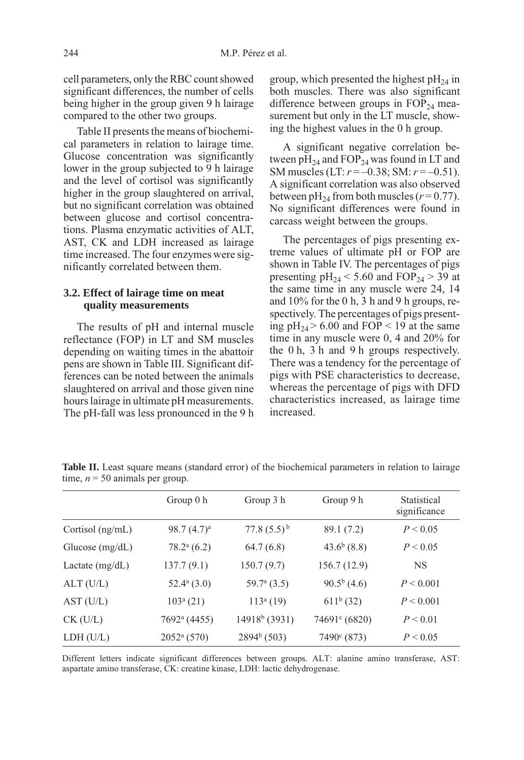cell parameters, only the RBC count showed significant differences, the number of cells being higher in the group given 9 h lairage compared to the other two groups.

Table II presents the means of biochemical parameters in relation to lairage time. Glucose concentration was significantly lower in the group subjected to 9 h lairage and the level of cortisol was significantly higher in the group slaughtered on arrival, but no significant correlation was obtained between glucose and cortisol concentrations. Plasma enzymatic activities of ALT, AST, CK and LDH increased as lairage time increased. The four enzymes were significantly correlated between them.

### **3.2. Effect of lairage time on meat quality measurements**

The results of pH and internal muscle reflectance (FOP) in LT and SM muscles depending on waiting times in the abattoir pens are shown in Table III. Significant differences can be noted between the animals slaughtered on arrival and those given nine hours lairage in ultimate pH measurements. The pH-fall was less pronounced in the 9 h group, which presented the highest  $pH_{24}$  in both muscles. There was also significant difference between groups in  $FOP_{24}$  measurement but only in the LT muscle, showing the highest values in the 0 h group.

A significant negative correlation between  $pH_{24}$  and  $FOP_{24}$  was found in LT and SM muscles (LT:  $r = -0.38$ ; SM:  $r = -0.51$ ). A significant correlation was also observed between  $pH_{24}$  from both muscles ( $r = 0.77$ ). No significant differences were found in carcass weight between the groups.

The percentages of pigs presenting extreme values of ultimate pH or FOP are shown in Table IV. The percentages of pigs presenting  $pH_{24}$  < 5.60 and FOP<sub>24</sub> > 39 at the same time in any muscle were 24, 14 and 10% for the 0 h, 3 h and 9 h groups, respectively. The percentages of pigs presenting  $pH_{24}$  > 6.00 and FOP < 19 at the same time in any muscle were 0, 4 and 20% for the 0 h, 3 h and 9 h groups respectively. There was a tendency for the percentage of pigs with PSE characteristics to decrease, whereas the percentage of pigs with DFD characteristics increased, as lairage time increased.

|                    | Group 0 h                | Group 3 h                | Group 9 h                 | Statistical<br>significance |
|--------------------|--------------------------|--------------------------|---------------------------|-----------------------------|
| Cortisol $(ng/mL)$ | $98.7(4.7)^a$            | 77.8 $(5.5)^{b}$         | 89.1 (7.2)                | P < 0.05                    |
| Glucose $(mg/dL)$  | $78.2^{\mathrm{a}}(6.2)$ | 64.7(6.8)                | $43.6^{b}$ (8.8)          | P < 0.05                    |
| Lactate $(mg/dL)$  | 137.7(9.1)               | 150.7(9.7)               | 156.7(12.9)               | <b>NS</b>                   |
| ALT(U/L)           | $52.4^{\circ}$ (3.0)     | $59.7^{\mathrm{a}}(3.5)$ | $90.5^b(4.6)$             | P < 0.001                   |
| AST (U/L)          | $103^a(21)$              | $113^a(19)$              | $611^b(32)$               | P < 0.001                   |
| $CK$ (U/L)         | 7692 <sup>a</sup> (4455) | $14918b$ (3931)          | 74691 <sup>c</sup> (6820) | P < 0.01                    |
| LDH (U/L)          | $2052^a(570)$            | 2894 <sup>b</sup> (503)  | $7490^{\circ}$ (873)      | P < 0.05                    |

Table II. Least square means (standard error) of the biochemical parameters in relation to lairage time,  $n = 50$  animals per group.

Different letters indicate significant differences between groups. ALT: alanine amino transferase, AST: aspartate amino transferase, CK: creatine kinase, LDH: lactic dehydrogenase.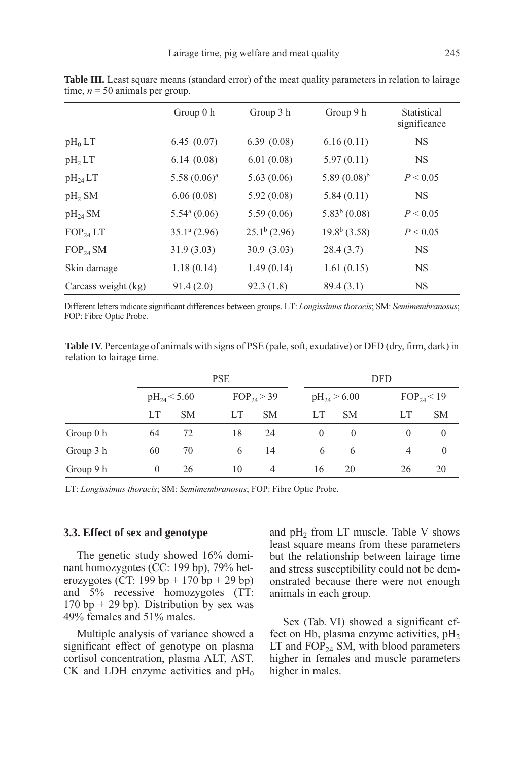|                      | Group 0 h                  | Group 3 h      | Group 9 h                | Statistical<br>significance |
|----------------------|----------------------------|----------------|--------------------------|-----------------------------|
| $pH_0LT$             | 6.45(0.07)                 | 6.39(0.08)     | 6.16(0.11)               | <b>NS</b>                   |
| $pH_2LT$             | 6.14(0.08)                 | 6.01(0.08)     | 5.97(0.11)               | <b>NS</b>                   |
| $pH_{24}LT$          | $5.58(0.06)^a$             | 5.63(0.06)     | 5.89 $(0.08)^{b}$        | P < 0.05                    |
| $pH$ <sub>2</sub> SM | 6.06(0.08)                 | 5.92(0.08)     | 5.84(0.11)               | <b>NS</b>                   |
| $pH_{24}$ SM         | $5.54$ <sup>a</sup> (0.06) | 5.59(0.06)     | 5.83 <sup>b</sup> (0.08) | P < 0.05                    |
| $FOP_{24}LT$         | $35.1^a(2.96)$             | $25.1b$ (2.96) | $19.8b$ (3.58)           | P < 0.05                    |
| $FOP_{24}SM$         | 31.9(3.03)                 | 30.9(3.03)     | 28.4(3.7)                | <b>NS</b>                   |
| Skin damage          | 1.18(0.14)                 | 1.49(0.14)     | 1.61(0.15)               | <b>NS</b>                   |
| Carcass weight (kg)  | 91.4(2.0)                  | 92.3(1.8)      | 89.4(3.1)                | <b>NS</b>                   |

Table III. Least square means (standard error) of the meat quality parameters in relation to lairage time,  $n = 50$  animals per group.

Different letters indicate significant differences between groups. LT: Longissimus thoracis; SM: Semimembranosus; FOP: Fibre Optic Probe.

**Table IV**. Percentage of animals with signs of PSE (pale, soft, exudative) or DFD (dry, firm, dark) in relation to lairage time.

|            |          | <b>PSE</b>                          |    |                  | DFD      |                 |  |          |           |
|------------|----------|-------------------------------------|----|------------------|----------|-----------------|--|----------|-----------|
|            |          | $FOP_{24}$ > 39<br>$pH_{24}$ < 5.60 |    | $pH_{24}$ > 6.00 |          | $FOP_{24}$ < 19 |  |          |           |
|            | LT       | <b>SM</b>                           | LT | <b>SM</b>        | LT       | <b>SM</b>       |  | LT       | <b>SM</b> |
| Group $0h$ | 64       | 72                                  | 18 | 24               | $\Omega$ | $\Omega$        |  | $\theta$ | $\theta$  |
| Group 3 h  | 60       | 70                                  | 6  | 14               | 6        | 6               |  | 4        | $\theta$  |
| Group 9 h  | $\theta$ | 26                                  | 10 | $\overline{4}$   | 16       | 20              |  | 26       | 20        |

LT: Longissimus thoracis; SM: Semimembranosus; FOP: Fibre Optic Probe.

#### **3.3. Effect of sex and genotype**

The genetic study showed 16% dominant homozygotes (CC: 199 bp), 79% heterozygotes (CT: 199 bp + 170 bp + 29 bp) and 5% recessive homozygotes (TT:  $170$  bp  $+ 29$  bp). Distribution by sex was 49% females and 51% males.

Multiple analysis of variance showed a significant effect of genotype on plasma cortisol concentration, plasma ALT, AST, CK and LDH enzyme activities and  $pH_0$  and  $pH_2$  from LT muscle. Table V shows least square means from these parameters but the relationship between lairage time and stress susceptibility could not be demonstrated because there were not enough animals in each group.

Sex (Tab. VI) showed a significant effect on Hb, plasma enzyme activities,  $pH_2$ LT and  $FOP_{24}$  SM, with blood parameters higher in females and muscle parameters higher in males.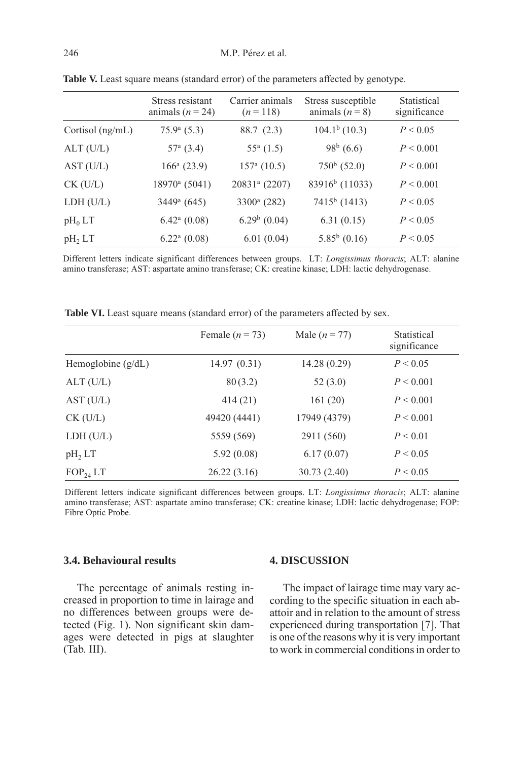|                        | Stress resistant<br>animals ( $n = 24$ ) | Carrier animals<br>$(n=118)$ | Stress susceptible<br>animals $(n = 8)$ | Statistical<br>significance |
|------------------------|------------------------------------------|------------------------------|-----------------------------------------|-----------------------------|
| Cortisol $(ng/mL)$     | $75.9a$ (5.3)                            | 88.7 (2.3)                   | $104.1b$ (10.3)                         | P < 0.05                    |
| $ALT$ (U/L)            | $57^{\rm a}$ (3.4)                       | $55^{\rm a}$ $(1.5)$         | $98^b$ (6.6)                            | P < 0.001                   |
| AST (U/L)              | $166^{\rm a}$ (23.9)                     | $157^{\rm a}$ (10.5)         | $750b$ (52.0)                           | P < 0.001                   |
| $CK$ (U/L)             | $18970^{\circ}$ (5041)                   | 20831 <sup>a</sup> (2207)    | 83916 <sup>b</sup> (11033)              | P < 0.001                   |
| LDH (U/L)              | $3449^{\circ}$ (645)                     | $3300^{\rm a}$ (282)         | $7415b$ (1413)                          | P < 0.05                    |
| $pH_0LT$               | $6.42^{\mathrm{a}}$ $(0.08)$             | $6.29b$ (0.04)               | 6.31(0.15)                              | P < 0.05                    |
| $pH$ <sub>2</sub> $LT$ | $6.22^{\mathrm{a}}$ (0.08)               | 6.01(0.04)                   | $5.85^b$ (0.16)                         | P < 0.05                    |

**Table V.** Least square means (standard error) of the parameters affected by genotype.

Different letters indicate significant differences between groups. LT: Longissimus thoracis; ALT: alanine amino transferase; AST: aspartate amino transferase; CK: creatine kinase; LDH: lactic dehydrogenase.

|                    | Female $(n = 73)$ | Male $(n = 77)$ | Statistical<br>significance |
|--------------------|-------------------|-----------------|-----------------------------|
| Hemoglobine (g/dL) | 14.97(0.31)       | 14.28 (0.29)    | P < 0.05                    |
| ALT(U/L)           | 80(3.2)           | 52(3.0)         | P < 0.001                   |
| AST (U/L)          | 414 (21)          | 161(20)         | P < 0.001                   |
| $CK$ (U/L)         | 49420 (4441)      | 17949 (4379)    | P < 0.001                   |
| LDH (U/L)          | 5559 (569)        | 2911 (560)      | P < 0.01                    |
| $pH_2LT$           | 5.92(0.08)        | 6.17(0.07)      | P < 0.05                    |
| $FOP_{24}LT$       | 26.22(3.16)       | 30.73 (2.40)    | P < 0.05                    |

Table VI. Least square means (standard error) of the parameters affected by sex.

Different letters indicate significant differences between groups. LT: Longissimus thoracis; ALT: alanine amino transferase; AST: aspartate amino transferase; CK: creatine kinase; LDH: lactic dehydrogenase; FOP: Fibre Optic Probe.

#### **3.4. Behavioural results**

The percentage of animals resting increased in proportion to time in lairage and no differences between groups were detected (Fig. 1). Non significant skin damages were detected in pigs at slaughter (Tab. III).

#### **4. DISCUSSION**

The impact of lairage time may vary according to the specific situation in each abattoir and in relation to the amount of stress experienced during transportation [7]. That is one of the reasons why it is very important to work in commercial conditions in order to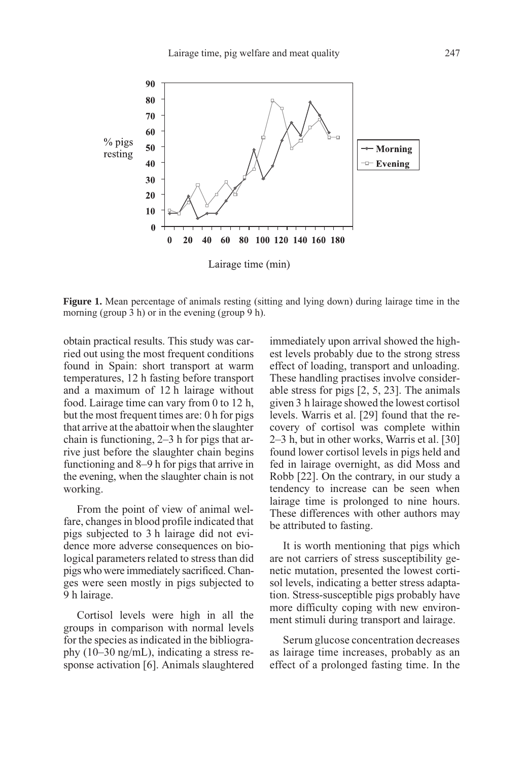

**Figure 1.** Mean percentage of animals resting (sitting and lying down) during lairage time in the morning (group 3 h) or in the evening (group 9 h).

obtain practical results. This study was carried out using the most frequent conditions found in Spain: short transport at warm temperatures, 12 h fasting before transport and a maximum of 12 h lairage without food. Lairage time can vary from 0 to 12 h, but the most frequent times are: 0 h for pigs that arrive at the abattoir when the slaughter chain is functioning, 2–3 h for pigs that arrive just before the slaughter chain begins functioning and 8–9 h for pigs that arrive in the evening, when the slaughter chain is not working.

From the point of view of animal welfare, changes in blood profile indicated that pigs subjected to 3 h lairage did not evidence more adverse consequences on biological parameters related to stress than did pigs who were immediately sacrificed. Changes were seen mostly in pigs subjected to 9 h lairage.

Cortisol levels were high in all the groups in comparison with normal levels for the species as indicated in the bibliography (10–30 ng/mL), indicating a stress response activation [6]. Animals slaughtered immediately upon arrival showed the highest levels probably due to the strong stress effect of loading, transport and unloading. These handling practises involve considerable stress for pigs [2, 5, 23]. The animals given 3 h lairage showed the lowest cortisol levels. Warris et al. [29] found that the recovery of cortisol was complete within 2–3 h, but in other works, Warris et al. [30] found lower cortisol levels in pigs held and fed in lairage overnight, as did Moss and Robb [22]. On the contrary, in our study a tendency to increase can be seen when lairage time is prolonged to nine hours. These differences with other authors may be attributed to fasting.

It is worth mentioning that pigs which are not carriers of stress susceptibility genetic mutation, presented the lowest cortisol levels, indicating a better stress adaptation. Stress-susceptible pigs probably have more difficulty coping with new environment stimuli during transport and lairage.

Serum glucose concentration decreases as lairage time increases, probably as an effect of a prolonged fasting time. In the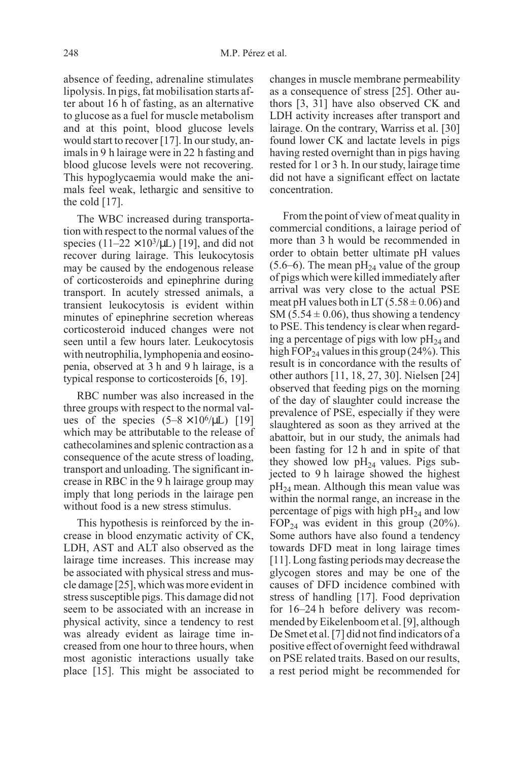absence of feeding, adrenaline stimulates lipolysis. In pigs, fat mobilisation starts after about 16 h of fasting, as an alternative to glucose as a fuel for muscle metabolism and at this point, blood glucose levels would start to recover [17]. In our study, animals in 9 h lairage were in 22 h fasting and blood glucose levels were not recovering. This hypoglycaemia would make the animals feel weak, lethargic and sensitive to the cold [17].

The WBC increased during transportation with respect to the normal values of the species  $(11-22 \times 10^3/\mu L)$  [19], and did not recover during lairage. This leukocytosis may be caused by the endogenous release of corticosteroids and epinephrine during transport. In acutely stressed animals, a transient leukocytosis is evident within minutes of epinephrine secretion whereas corticosteroid induced changes were not seen until a few hours later. Leukocytosis with neutrophilia, lymphopenia and eosinopenia, observed at 3 h and 9 h lairage, is a typical response to corticosteroids [6, 19].

RBC number was also increased in the three groups with respect to the normal values of the species  $(5-8 \times 10^6/\mu L)$  [19] which may be attributable to the release of cathecolamines and splenic contraction as a consequence of the acute stress of loading, transport and unloading. The significant increase in RBC in the 9 h lairage group may imply that long periods in the lairage pen without food is a new stress stimulus.

This hypothesis is reinforced by the increase in blood enzymatic activity of CK, LDH, AST and ALT also observed as the lairage time increases. This increase may be associated with physical stress and muscle damage [25], which was more evident in stress susceptible pigs. This damage did not seem to be associated with an increase in physical activity, since a tendency to rest was already evident as lairage time increased from one hour to three hours, when most agonistic interactions usually take place [15]. This might be associated to

changes in muscle membrane permeability as a consequence of stress [25]. Other authors [3, 31] have also observed CK and LDH activity increases after transport and lairage. On the contrary, Warriss et al. [30] found lower CK and lactate levels in pigs having rested overnight than in pigs having rested for 1 or 3 h. In our study, lairage time did not have a significant effect on lactate concentration.

From the point of view of meat quality in commercial conditions, a lairage period of more than 3 h would be recommended in order to obtain better ultimate pH values  $(5.6–6)$ . The mean pH<sub>24</sub> value of the group of pigs which were killed immediately after arrival was very close to the actual PSE meat pH values both in LT  $(5.58 \pm 0.06)$  and SM (5.54  $\pm$  0.06), thus showing a tendency to PSE. This tendency is clear when regarding a percentage of pigs with low  $pH_{24}$  and high  $FOP_{24}$  values in this group (24%). This result is in concordance with the results of other authors [11, 18, 27, 30]. Nielsen [24] observed that feeding pigs on the morning of the day of slaughter could increase the prevalence of PSE, especially if they were slaughtered as soon as they arrived at the abattoir, but in our study, the animals had been fasting for 12 h and in spite of that they showed low  $pH_{24}$  values. Pigs subjected to 9 h lairage showed the highest pH24 mean. Although this mean value was within the normal range, an increase in the percentage of pigs with high  $pH_{24}$  and low  $FOP<sub>24</sub>$  was evident in this group (20%). Some authors have also found a tendency towards DFD meat in long lairage times [11]. Long fasting periods may decrease the glycogen stores and may be one of the causes of DFD incidence combined with stress of handling [17]. Food deprivation for 16–24 h before delivery was recommended by Eikelenboom et al. [9], although De Smet et al. [7] did not find indicators of a positive effect of overnight feed withdrawal on PSE related traits. Based on our results, a rest period might be recommended for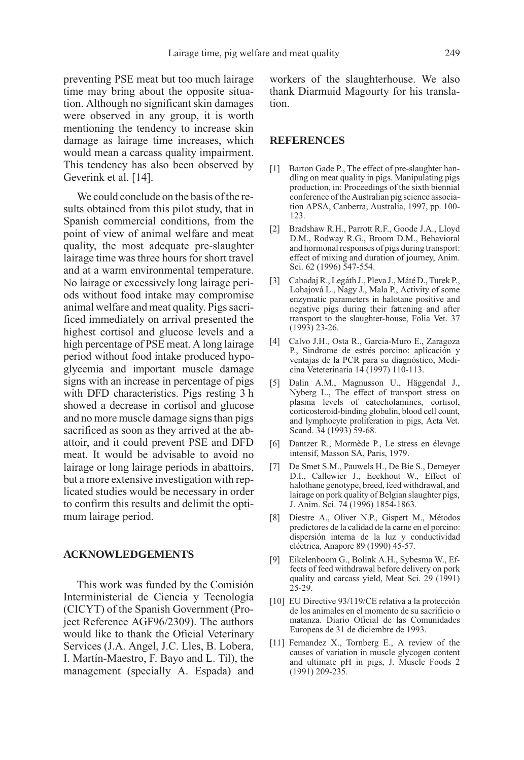preventing PSE meat but too much lairage time may bring about the opposite situation. Although no significant skin damages were observed in any group, it is worth mentioning the tendency to increase skin damage as lairage time increases, which would mean a carcass quality impairment. This tendency has also been observed by Geverink et al. [14].

We could conclude on the basis of the results obtained from this pilot study, that in Spanish commercial conditions, from the point of view of animal welfare and meat quality, the most adequate pre-slaughter lairage time was three hours for short travel and at a warm environmental temperature. No lairage or excessively long lairage periods without food intake may compromise animal welfare and meat quality. Pigs sacrificed immediately on arrival presented the highest cortisol and glucose levels and a high percentage of PSE meat. A long lairage period without food intake produced hypoglycemia and important muscle damage signs with an increase in percentage of pigs with DFD characteristics. Pigs resting 3 h showed a decrease in cortisol and glucose and no more muscle damage signs than pigs sacrificed as soon as they arrived at the abattoir, and it could prevent PSE and DFD meat. It would be advisable to avoid no lairage or long lairage periods in abattoirs, but a more extensive investigation with replicated studies would be necessary in order to confirm this results and delimit the optimum lairage period.

#### **ACKNOWLEDGEMENTS**

This work was funded by the Comisión Interministerial de Ciencia y Tecnología (CICYT) of the Spanish Government (Project Reference AGF96/2309). The authors would like to thank the Oficial Veterinary Services (J.A. Angel, J.C. Lles, B. Lobera, I. Martín-Maestro, F. Bayo and L. Til), the management (specially A. Espada) and workers of the slaughterhouse. We also thank Diarmuid Magourty for his translation.

## **REFERENCES**

- [1] Barton Gade P., The effect of pre-slaughter handling on meat quality in pigs. Manipulating pigs production, in: Proceedings of the sixth biennial conference of the Australian pig science association APSA, Canberra, Australia, 1997, pp. 100- 123.
- [2] Bradshaw R.H., Parrott R.F., Goode J.A., Lloyd D.M., Rodway R.G., Broom D.M., Behavioral and hormonal responses of pigs during transport: effect of mixing and duration of journey, Anim. Sci. 62 (1996) 547-554.
- [3] Cabadaj R., Legáth J., Pleva J., Máté D., Turek P., Lohajová L., Nagy J., Mala P., Activity of some enzymatic parameters in halotane positive and negative pigs during their fattening and after transport to the slaughter-house, Folia Vet. 37 (1993) 23-26.
- [4] Calvo J.H., Osta R., Garcia-Muro E., Zaragoza P., Sindrome de estrés porcino: aplicación y ventajas de la PCR para su diagnóstico, Medicina Veteterinaria 14 (1997) 110-113.
- [5] Dalin A.M., Magnusson U., Häggendal J., Nyberg L., The effect of transport stress on plasma levels of catecholamines, cortisol, corticosteroid-binding globulin, blood cell count, and lymphocyte proliferation in pigs, Acta Vet. Scand. 34 (1993) 59-68.
- [6] Dantzer R., Mormède P., Le stress en élevage intensif, Masson SA, Paris, 1979.
- [7] De Smet S.M., Pauwels H., De Bie S., Demeyer D.I., Callewier J., Eeckhout W., Effect of halothane genotype, breed, feed withdrawal, and lairage on pork quality of Belgian slaughter pigs, J. Anim. Sci. 74 (1996) 1854-1863.
- [8] Diestre A., Oliver N.P., Gispert M., Métodos predictores de la calidad de la carne en el porcino: dispersión interna de la luz y conductividad eléctrica, Anaporc 89 (1990) 45-57.
- [9] Eikelenboom G., Bolink A.H., Sybesma W., Effects of feed withdrawal before delivery on pork quality and carcass yield, Meat Sci. 29 (1991)  $25 - 29.$
- [10] EU Directive 93/119/CE relativa a la protección de los animales en el momento de su sacrificio o matanza. Diario Oficial de las Comunidades Europeas de 31 de diciembre de 1993.
- [11] Fernandez X., Tornberg E., A review of the causes of variation in muscle glycogen content and ultimate pH in pigs, J. Muscle Foods 2 (1991) 209-235.